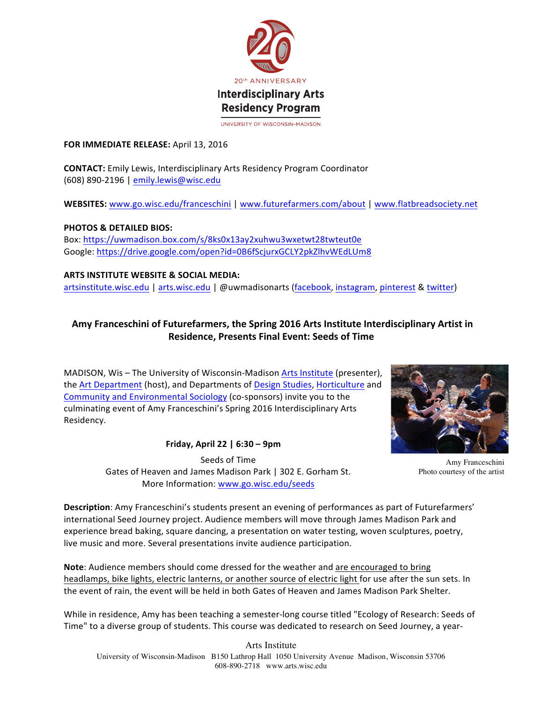

#### **FOR IMMEDIATE RELEASE:** April 13, 2016

**CONTACT:** Emily Lewis, Interdisciplinary Arts Residency Program Coordinator (608) 890-2196 | emily.lewis@wisc.edu

WEBSITES: www.go.wisc.edu/franceschini | www.futurefarmers.com/about | www.flatbreadsociety.net

**PHOTOS & DETAILED BIOS:** Box: https://uwmadison.box.com/s/8ks0x13ay2xuhwu3wxetwt28twteut0e Google: https://drive.google.com/open?id=0B6fScjurxGCLY2pkZlhvWEdLUm8

**ARTS INSTITUTE WEBSITE & SOCIAL MEDIA:** artsinstitute.wisc.edu | arts.wisc.edu | @uwmadisonarts (facebook, instagram, pinterest & twitter)

# Amy Franceschini of Futurefarmers, the Spring 2016 Arts Institute Interdisciplinary Artist in **Residence, Presents Final Event: Seeds of Time**

MADISON, Wis - The University of Wisconsin-Madison Arts Institute (presenter), the Art Department (host), and Departments of Design Studies, Horticulture and Community and Environmental Sociology (co-sponsors) invite you to the culminating event of Amy Franceschini's Spring 2016 Interdisciplinary Arts Residency.

**Friday, April 22 | 6:30 – 9pm**



Amy Franceschini Photo courtesy of the artist

Seeds of Time Gates of Heaven and James Madison Park | 302 E. Gorham St. More Information: www.go.wisc.edu/seeds

**Description**: Amy Franceschini's students present an evening of performances as part of Futurefarmers' international Seed Journey project. Audience members will move through James Madison Park and experience bread baking, square dancing, a presentation on water testing, woven sculptures, poetry, live music and more. Several presentations invite audience participation.

**Note:** Audience members should come dressed for the weather and are encouraged to bring headlamps, bike lights, electric lanterns, or another source of electric light for use after the sun sets. In the event of rain, the event will be held in both Gates of Heaven and James Madison Park Shelter.

While in residence, Amy has been teaching a semester-long course titled "Ecology of Research: Seeds of Time" to a diverse group of students. This course was dedicated to research on Seed Journey, a year-

Arts Institute University of Wisconsin-Madison B150 Lathrop Hall 1050 University Avenue Madison, Wisconsin 53706 608-890-2718 www.arts.wisc.edu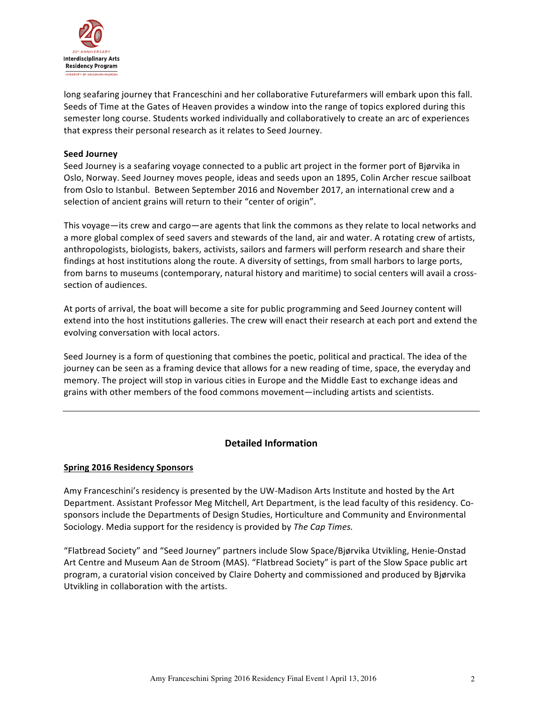

long seafaring journey that Franceschini and her collaborative Futurefarmers will embark upon this fall. Seeds of Time at the Gates of Heaven provides a window into the range of topics explored during this semester long course. Students worked individually and collaboratively to create an arc of experiences that express their personal research as it relates to Seed Journey.

#### **Seed Journey**

Seed Journey is a seafaring voyage connected to a public art project in the former port of Bjørvika in Oslo, Norway. Seed Journey moves people, ideas and seeds upon an 1895, Colin Archer rescue sailboat from Oslo to Istanbul. Between September 2016 and November 2017, an international crew and a selection of ancient grains will return to their "center of origin".

This voyage—its crew and cargo—are agents that link the commons as they relate to local networks and a more global complex of seed savers and stewards of the land, air and water. A rotating crew of artists, anthropologists, biologists, bakers, activists, sailors and farmers will perform research and share their findings at host institutions along the route. A diversity of settings, from small harbors to large ports, from barns to museums (contemporary, natural history and maritime) to social centers will avail a crosssection of audiences.

At ports of arrival, the boat will become a site for public programming and Seed Journey content will extend into the host institutions galleries. The crew will enact their research at each port and extend the evolving conversation with local actors.

Seed Journey is a form of questioning that combines the poetic, political and practical. The idea of the journey can be seen as a framing device that allows for a new reading of time, space, the everyday and memory. The project will stop in various cities in Europe and the Middle East to exchange ideas and grains with other members of the food commons movement—including artists and scientists.

# **Detailed Information**

### **Spring 2016 Residency Sponsors**

Amy Franceschini's residency is presented by the UW-Madison Arts Institute and hosted by the Art Department. Assistant Professor Meg Mitchell, Art Department, is the lead faculty of this residency. Cosponsors include the Departments of Design Studies, Horticulture and Community and Environmental Sociology. Media support for the residency is provided by *The Cap Times.* 

"Flatbread Society" and "Seed Journey" partners include Slow Space/Bjørvika Utvikling, Henie-Onstad Art Centre and Museum Aan de Stroom (MAS). "Flatbread Society" is part of the Slow Space public art program, a curatorial vision conceived by Claire Doherty and commissioned and produced by Bjørvika Utvikling in collaboration with the artists.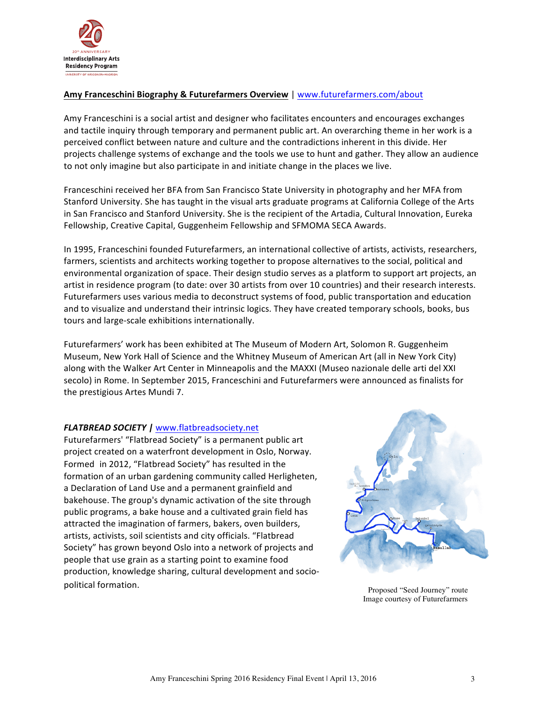

## **Amy Franceschini Biography & Futurefarmers Overview | www.futurefarmers.com/about**

Amy Franceschini is a social artist and designer who facilitates encounters and encourages exchanges and tactile inquiry through temporary and permanent public art. An overarching theme in her work is a perceived conflict between nature and culture and the contradictions inherent in this divide. Her projects challenge systems of exchange and the tools we use to hunt and gather. They allow an audience to not only imagine but also participate in and initiate change in the places we live.

Franceschini received her BFA from San Francisco State University in photography and her MFA from Stanford University. She has taught in the visual arts graduate programs at California College of the Arts in San Francisco and Stanford University. She is the recipient of the Artadia, Cultural Innovation, Eureka Fellowship, Creative Capital, Guggenheim Fellowship and SFMOMA SECA Awards.

In 1995, Franceschini founded Futurefarmers, an international collective of artists, activists, researchers, farmers, scientists and architects working together to propose alternatives to the social, political and environmental organization of space. Their design studio serves as a platform to support art projects, an artist in residence program (to date: over 30 artists from over 10 countries) and their research interests. Futurefarmers uses various media to deconstruct systems of food, public transportation and education and to visualize and understand their intrinsic logics. They have created temporary schools, books, bus tours and large-scale exhibitions internationally.

Futurefarmers' work has been exhibited at The Museum of Modern Art, Solomon R. Guggenheim Museum, New York Hall of Science and the Whitney Museum of American Art (all in New York City) along with the Walker Art Center in Minneapolis and the MAXXI (Museo nazionale delle arti del XXI secolo) in Rome. In September 2015, Franceschini and Futurefarmers were announced as finalists for the prestigious Artes Mundi 7.

### *FLATBREAD SOCIETY |* www.flatbreadsociety.net

Futurefarmers' "Flatbread Society" is a permanent public art project created on a waterfront development in Oslo, Norway. Formed in 2012, "Flatbread Society" has resulted in the formation of an urban gardening community called Herligheten, a Declaration of Land Use and a permanent grainfield and bakehouse. The group's dynamic activation of the site through public programs, a bake house and a cultivated grain field has attracted the imagination of farmers, bakers, oven builders, artists, activists, soil scientists and city officials. "Flatbread Society" has grown beyond Oslo into a network of projects and people that use grain as a starting point to examine food production, knowledge sharing, cultural development and sociopolitical formation. The political formation control of the proposed of the Proposed "Seed Journey" route



Image courtesy of Futurefarmers